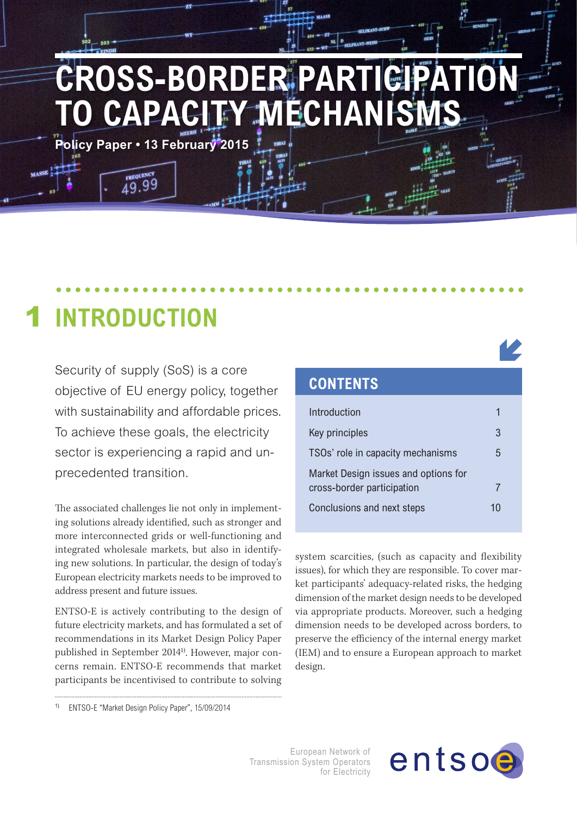# CROSS-BORDER PARTICI **O CAPACITY MECHANIS**

**Policy Paper • 13 February 2015**

 $19.99$ 

#### **Introduction** 1

Security of supply (SoS) is a core objective of EU energy policy, together with sustainability and affordable prices. To achieve these goals, the electricity sector is experiencing a rapid and unprecedented transition.

The associated challenges lie not only in implementing solutions already identified, such as stronger and more interconnected grids or well-functioning and integrated wholesale markets, but also in identifying new solutions. In particular, the design of today's European electricity markets needs to be improved to address present and future issues.

ENTSO-E is actively contributing to the design of future electricity markets, and has formulated a set of recommendations in its Market Design Policy Paper published in September 20141). However, major concerns remain. ENTSO-E recommends that market participants be incentivised to contribute to solving

### **Contents** Introduction 1 Key principles 3 TSOs' role in capacity mechanisms 5 Market Design issues and options for cross-border participation 7 Conclusions and next steps 10

system scarcities, (such as capacity and flexibility issues), for which they are responsible. To cover market participants' adequacy-related risks, the hedging dimension of the market design needs to be developed via appropriate products. Moreover, such a hedging dimension needs to be developed across borders, to preserve the efficiency of the internal energy market (IEM) and to ensure a European approach to market design.

1) ENTSO-E "Market Design Policy Paper", 15/09/2014

European Network of Transmission System Operators for Electricity

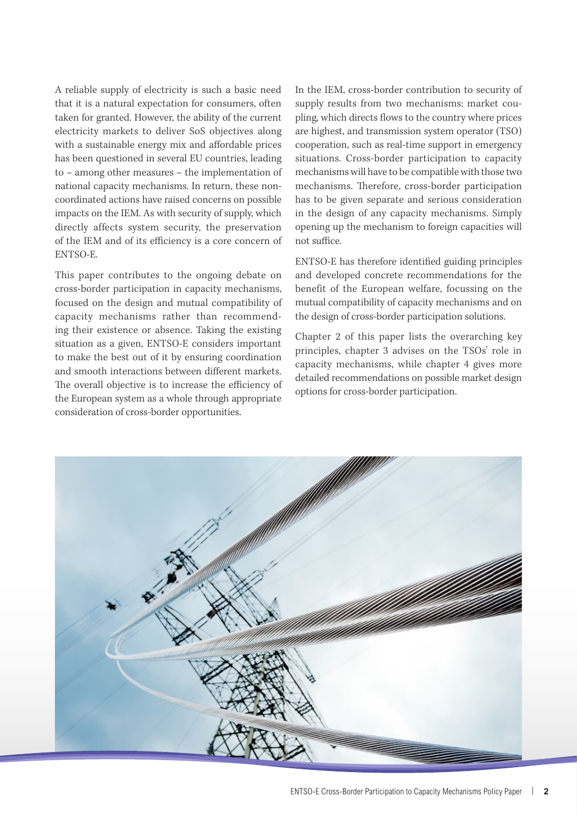A reliable supply of electricity is such a basic need that it is a natural expectation for consumers, often taken for granted. However, the ability of the current electricity markets to deliver SoS objectives along with a sustainable energy mix and affordable prices has been questioned in several EU countries, leading to – among other measures – the implementation of national capacity mechanisms. In return, these noncoordinated actions have raised concerns on possible impacts on the IEM. As with security of supply, which directly affects system security, the preservation of the IEM and of its efficiency is a core concern of ENTSO-E.

This paper contributes to the ongoing debate on cross-border participation in capacity mechanisms, focused on the design and mutual compatibility of capacity mechanisms rather than recommending their existence or absence. Taking the existing situation as a given, ENTSO-E considers important to make the best out of it by ensuring coordination and smooth interactions between different markets. The overall objective is to increase the efficiency of the European system as a whole through appropriate consideration of cross-border opportunities.

In the IEM, cross-border contribution to security of supply results from two mechanisms: market coupling, which directs flows to the country where prices are highest, and transmission system operator (TSO) cooperation, such as real-time support in emergency situations. Cross-border participation to capacity mechanisms will have to be compatible with those two mechanisms. Therefore, cross-border participation has to be given separate and serious consideration in the design of any capacity mechanisms. Simply opening up the mechanism to foreign capacities will not suffice.

ENTSO-E has therefore identified guiding principles and developed concrete recommendations for the benefit of the European welfare, focussing on the mutual compatibility of capacity mechanisms and on the design of cross-border participation solutions.

Chapter 2 of this paper lists the overarching key principles, chapter 3 advises on the TSOs' role in capacity mechanisms, while chapter 4 gives more detailed recommendations on possible market design options for cross-border participation.

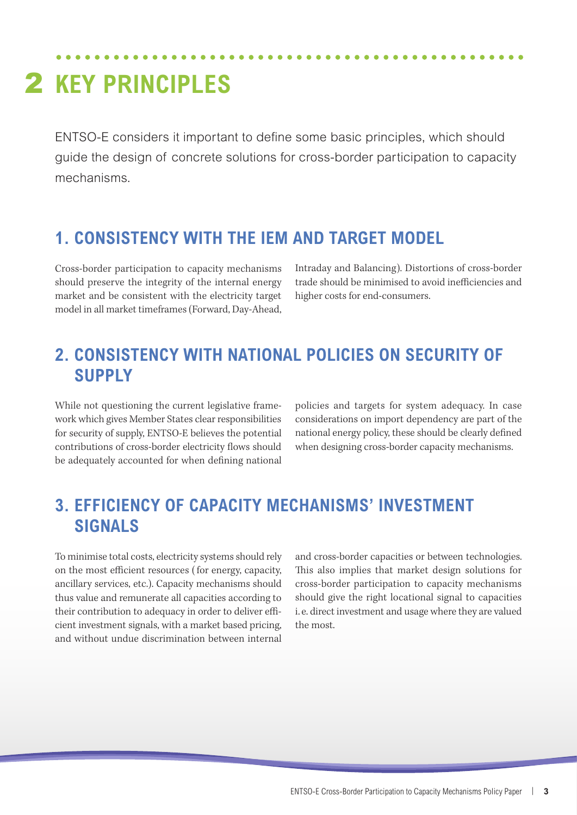### 2 KEY PRINCIPLES

ENTSO-E considers it important to define some basic principles, which should guide the design of concrete solutions for cross-border participation to capacity mechanisms.

#### **1. Consistency with the IEM and target model**

Cross-border participation to capacity mechanisms should preserve the integrity of the internal energy market and be consistent with the electricity target model in all market timeframes (Forward, Day-Ahead,

Intraday and Balancing). Distortions of cross-border trade should be minimised to avoid inefficiencies and higher costs for end-consumers.

#### **2. Consistency with national policies on security of supply**

While not questioning the current legislative framework which gives Member States clear responsibilities for security of supply, ENTSO-E believes the potential contributions of cross-border electricity flows should be adequately accounted for when defining national policies and targets for system adequacy. In case considerations on import dependency are part of the national energy policy, these should be clearly defined when designing cross-border capacity mechanisms.

#### **3. Efficiency of capacity mechanisms' investment signals**

To minimise total costs, electricity systems should rely on the most efficient resources ( for energy, capacity, ancillary services, etc.). Capacity mechanisms should thus value and remunerate all capacities according to their contribution to adequacy in order to deliver efficient investment signals, with a market based pricing, and without undue discrimination between internal

and cross-border capacities or between technologies. This also implies that market design solutions for cross-border participation to capacity mechanisms should give the right locational signal to capacities i. e. direct investment and usage where they are valued the most.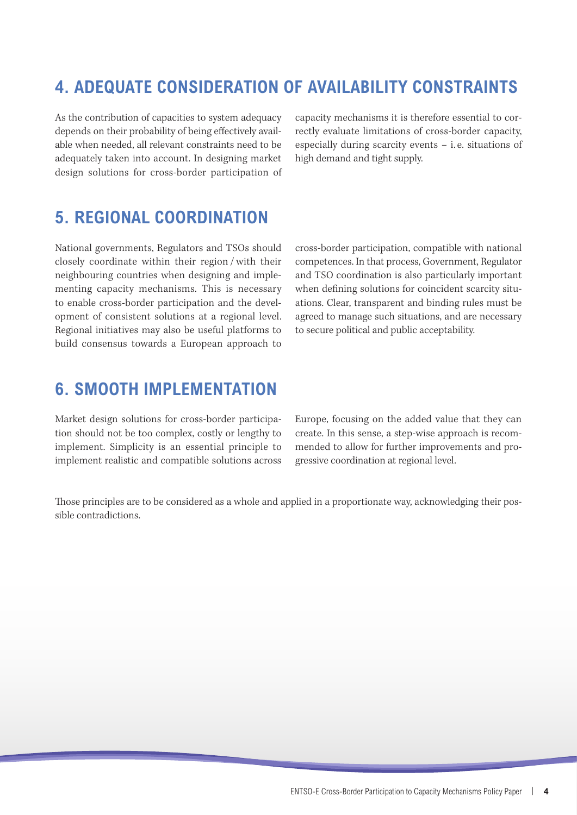#### **4. Adequate consideration of availability constraints**

As the contribution of capacities to system adequacy depends on their probability of being effectively available when needed, all relevant constraints need to be adequately taken into account. In designing market design solutions for cross-border participation of capacity mechanisms it is therefore essential to correctly evaluate limitations of cross-border capacity, especially during scarcity events – i. e. situations of high demand and tight supply.

#### **5. Regional coordination**

National governments, Regulators and TSOs should closely coordinate within their region /with their neighbouring countries when designing and implementing capacity mechanisms. This is necessary to enable cross-border participation and the development of consistent solutions at a regional level. Regional initiatives may also be useful platforms to build consensus towards a European approach to cross-border participation, compatible with national competences. In that process, Government, Regulator and TSO coordination is also particularly important when defining solutions for coincident scarcity situations. Clear, transparent and binding rules must be agreed to manage such situations, and are necessary to secure political and public acceptability.

#### **6. Smooth implementation**

Market design solutions for cross-border participation should not be too complex, costly or lengthy to implement. Simplicity is an essential principle to implement realistic and compatible solutions across Europe, focusing on the added value that they can create. In this sense, a step-wise approach is recommended to allow for further improvements and progressive coordination at regional level.

Those principles are to be considered as a whole and applied in a proportionate way, acknowledging their possible contradictions.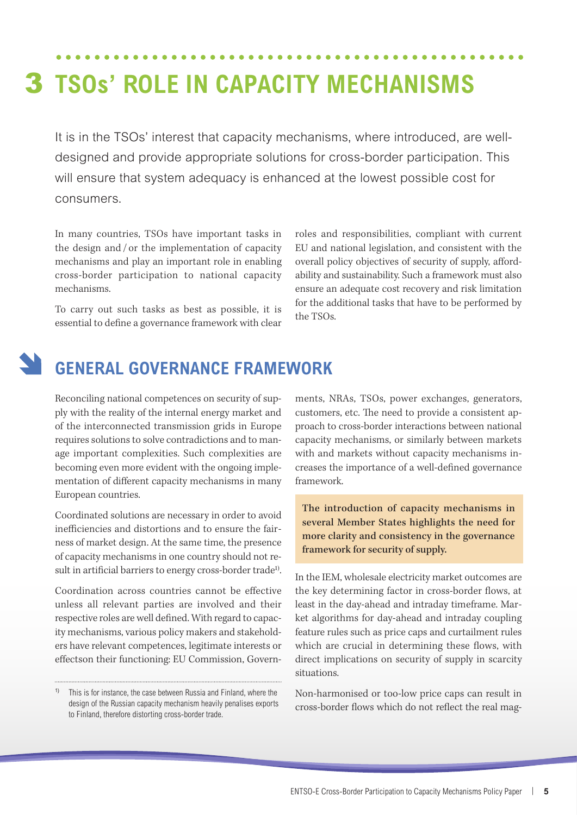# **TSOs' role in capacity mechanisms** 3

It is in the TSOs' interest that capacity mechanisms, where introduced, are welldesigned and provide appropriate solutions for cross-border participation. This will ensure that system adequacy is enhanced at the lowest possible cost for consumers.

In many countries, TSOs have important tasks in the design and / or the implementation of capacity mechanisms and play an important role in enabling cross-border participation to national capacity mechanisms.

To carry out such tasks as best as possible, it is essential to define a governance framework with clear

roles and responsibilities, compliant with current EU and national legislation, and consistent with the overall policy objectives of security of supply, affordability and sustainability. Such a framework must also ensure an adequate cost recovery and risk limitation for the additional tasks that have to be performed by the TSOs.

#### **General governance framework**

Reconciling national competences on security of supply with the reality of the internal energy market and of the interconnected transmission grids in Europe requires solutions to solve contradictions and to manage important complexities. Such complexities are becoming even more evident with the ongoing implementation of different capacity mechanisms in many European countries.

Coordinated solutions are necessary in order to avoid inefficiencies and distortions and to ensure the fairness of market design. At the same time, the presence of capacity mechanisms in one country should not result in artificial barriers to energy cross-border trade<sup>1)</sup>.

Coordination across countries cannot be effective unless all relevant parties are involved and their respective roles are well defined. With regard to capacity mechanisms, various policy makers and stakeholders have relevant competences, legitimate interests or effectson their functioning: EU Commission, Governments, NRAs, TSOs, power exchanges, generators, customers, etc. The need to provide a consistent approach to cross-border interactions between national capacity mechanisms, or similarly between markets with and markets without capacity mechanisms increases the importance of a well-defined governance framework.

The introduction of capacity mechanisms in several Member States highlights the need for more clarity and consistency in the governance framework for security of supply.

In the IEM, wholesale electricity market outcomes are the key determining factor in cross-border flows, at least in the day-ahead and intraday timeframe. Market algorithms for day-ahead and intraday coupling feature rules such as price caps and curtailment rules which are crucial in determining these flows, with direct implications on security of supply in scarcity situations.

Non-harmonised or too-low price caps can result in cross-border flows which do not reflect the real mag-

This is for instance, the case between Russia and Finland, where the design of the Russian capacity mechanism heavily penalises exports to Finland, therefore distorting cross-border trade.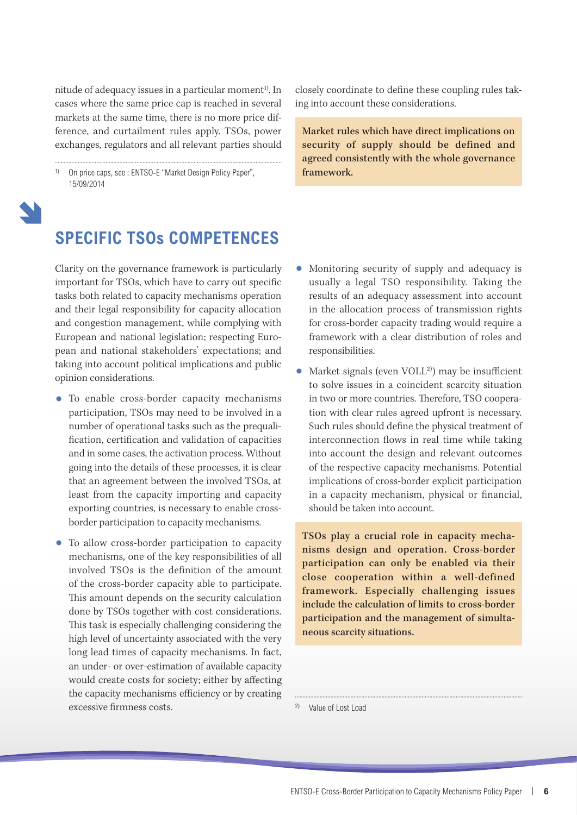nitude of adequacy issues in a particular moment<sup>1)</sup>. In cases where the same price cap is reached in several markets at the same time, there is no more price difference, and curtailment rules apply. TSOs, power exchanges, regulators and all relevant parties should

On price caps, see : ENTSO-E "Market Design Policy Paper", 15/09/2014

closely coordinate to define these coupling rules taking into account these considerations.

Market rules which have direct implications on security of supply should be defined and agreed consistently with the whole governance framework.



#### **Specific TSOs competences**

Clarity on the governance framework is particularly important for TSOs, which have to carry out specific tasks both related to capacity mechanisms operation and their legal responsibility for capacity allocation and congestion management, while complying with European and national legislation; respecting European and national stakeholders' expectations; and taking into account political implications and public opinion considerations.

- To enable cross-border capacity mechanisms participation, TSOs may need to be involved in a number of operational tasks such as the prequalification, certification and validation of capacities and in some cases, the activation process. Without going into the details of these processes, it is clear that an agreement between the involved TSOs, at least from the capacity importing and capacity exporting countries, is necessary to enable crossborder participation to capacity mechanisms.
- • To allow cross-border participation to capacity mechanisms, one of the key responsibilities of all involved TSOs is the definition of the amount of the cross-border capacity able to participate. This amount depends on the security calculation done by TSOs together with cost considerations. This task is especially challenging considering the high level of uncertainty associated with the very long lead times of capacity mechanisms. In fact, an under- or over-estimation of available capacity would create costs for society; either by affecting the capacity mechanisms efficiency or by creating excessive firmness costs.
- Monitoring security of supply and adequacy is usually a legal TSO responsibility. Taking the results of an adequacy assessment into account in the allocation process of transmission rights for cross-border capacity trading would require a framework with a clear distribution of roles and responsibilities.
- Market signals (even  $VOLL<sup>2</sup>$ ) may be insufficient to solve issues in a coincident scarcity situation in two or more countries. Therefore, TSO cooperation with clear rules agreed upfront is necessary. Such rules should define the physical treatment of interconnection flows in real time while taking into account the design and relevant outcomes of the respective capacity mechanisms. Potential implications of cross-border explicit participation in a capacity mechanism, physical or financial, should be taken into account.

TSOs play a crucial role in capacity mechanisms design and operation. Cross-border participation can only be enabled via their close cooperation within a well-defined framework. Especially challenging issues include the calculation of limits to cross-border participation and the management of simultaneous scarcity situations.

2) Value of Lost Load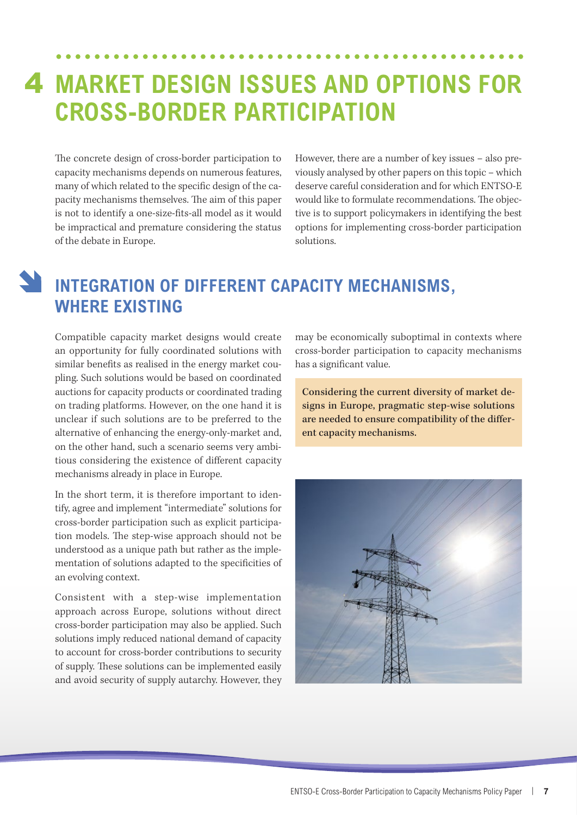### **Market Design issues and options for**  4**cross-border participation**

The concrete design of cross-border participation to capacity mechanisms depends on numerous features, many of which related to the specific design of the capacity mechanisms themselves. The aim of this paper is not to identify a one-size-fits-all model as it would be impractical and premature considering the status of the debate in Europe.

However, there are a number of key issues – also previously analysed by other papers on this topic – which deserve careful consideration and for which ENTSO-E would like to formulate recommendations. The objective is to support policymakers in identifying the best options for implementing cross-border participation solutions.

#### **Integration of different capacity mechanisms, where existing**

Compatible capacity market designs would create an opportunity for fully coordinated solutions with similar benefits as realised in the energy market coupling. Such solutions would be based on coordinated auctions for capacity products or coordinated trading on trading platforms. However, on the one hand it is unclear if such solutions are to be preferred to the alternative of enhancing the energy-only-market and, on the other hand, such a scenario seems very ambitious considering the existence of different capacity mechanisms already in place in Europe.

In the short term, it is therefore important to identify, agree and implement "intermediate" solutions for cross-border participation such as explicit participation models. The step-wise approach should not be understood as a unique path but rather as the implementation of solutions adapted to the specificities of an evolving context.

Consistent with a step-wise implementation approach across Europe, solutions without direct cross-border participation may also be applied. Such solutions imply reduced national demand of capacity to account for cross-border contributions to security of supply. These solutions can be implemented easily and avoid security of supply autarchy. However, they may be economically suboptimal in contexts where cross-border participation to capacity mechanisms has a significant value.

Considering the current diversity of market designs in Europe, pragmatic step-wise solutions are needed to ensure compatibility of the different capacity mechanisms.

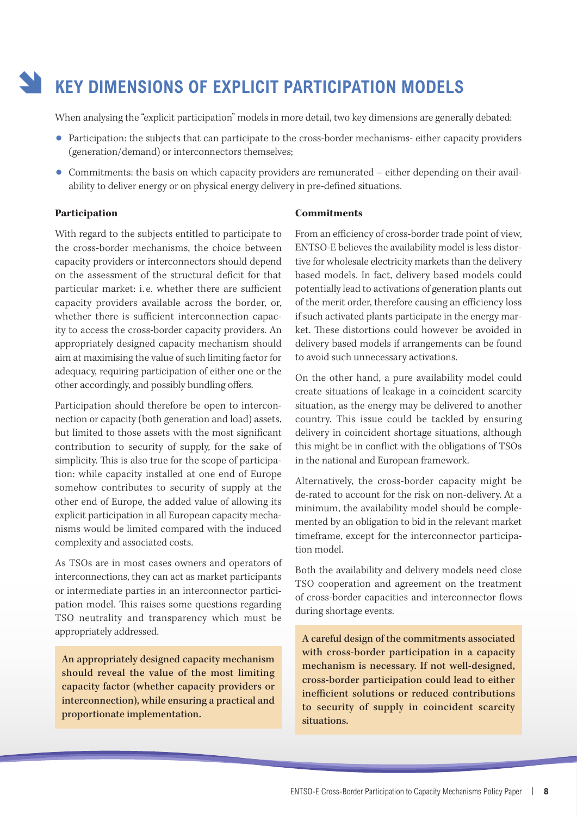### **Key dimensions of explicit participation models**

When analysing the "explicit participation" models in more detail, two key dimensions are generally debated:

- Participation: the subjects that can participate to the cross-border mechanisms- either capacity providers (generation/demand) or interconnectors themselves;
- Commitments: the basis on which capacity providers are remunerated either depending on their availability to deliver energy or on physical energy delivery in pre-defined situations.

#### **Participation**

With regard to the subjects entitled to participate to the cross-border mechanisms, the choice between capacity providers or interconnectors should depend on the assessment of the structural deficit for that particular market: i. e. whether there are sufficient capacity providers available across the border, or, whether there is sufficient interconnection capacity to access the cross-border capacity providers. An appropriately designed capacity mechanism should aim at maximising the value of such limiting factor for adequacy, requiring participation of either one or the other accordingly, and possibly bundling offers.

Participation should therefore be open to interconnection or capacity (both generation and load) assets, but limited to those assets with the most significant contribution to security of supply, for the sake of simplicity. This is also true for the scope of participation: while capacity installed at one end of Europe somehow contributes to security of supply at the other end of Europe, the added value of allowing its explicit participation in all European capacity mechanisms would be limited compared with the induced complexity and associated costs.

As TSOs are in most cases owners and operators of interconnections, they can act as market participants or intermediate parties in an interconnector participation model. This raises some questions regarding TSO neutrality and transparency which must be appropriately addressed.

An appropriately designed capacity mechanism should reveal the value of the most limiting capacity factor (whether capacity providers or interconnection), while ensuring a practical and proportionate implementation.

#### **Commitments**

From an efficiency of cross-border trade point of view, ENTSO-E believes the availability model is less distortive for wholesale electricity markets than the delivery based models. In fact, delivery based models could potentially lead to activations of generation plants out of the merit order, therefore causing an efficiency loss if such activated plants participate in the energy market. These distortions could however be avoided in delivery based models if arrangements can be found to avoid such unnecessary activations.

On the other hand, a pure availability model could create situations of leakage in a coincident scarcity situation, as the energy may be delivered to another country. This issue could be tackled by ensuring delivery in coincident shortage situations, although this might be in conflict with the obligations of TSOs in the national and European framework.

Alternatively, the cross-border capacity might be de-rated to account for the risk on non-delivery. At a minimum, the availability model should be complemented by an obligation to bid in the relevant market timeframe, except for the interconnector participation model.

Both the availability and delivery models need close TSO cooperation and agreement on the treatment of cross-border capacities and interconnector flows during shortage events.

A careful design of the commitments associated with cross-border participation in a capacity mechanism is necessary. If not well-designed, cross-border participation could lead to either inefficient solutions or reduced contributions to security of supply in coincident scarcity situations.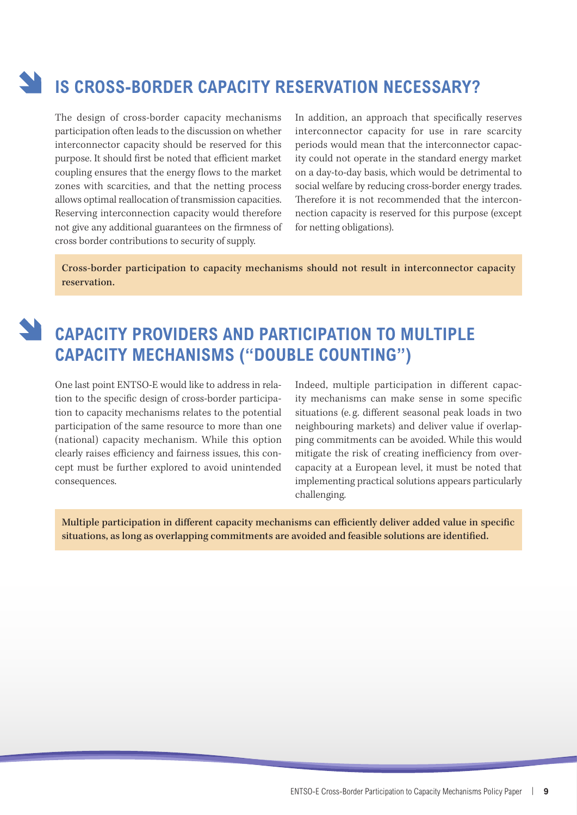### **Is cross-border capacity reservation necessary?**

The design of cross-border capacity mechanisms participation often leads to the discussion on whether interconnector capacity should be reserved for this purpose. It should first be noted that efficient market coupling ensures that the energy flows to the market zones with scarcities, and that the netting process allows optimal reallocation of transmission capacities. Reserving interconnection capacity would therefore not give any additional guarantees on the firmness of cross border contributions to security of supply.

In addition, an approach that specifically reserves interconnector capacity for use in rare scarcity periods would mean that the interconnector capacity could not operate in the standard energy market on a day-to-day basis, which would be detrimental to social welfare by reducing cross-border energy trades. Therefore it is not recommended that the interconnection capacity is reserved for this purpose (except for netting obligations).

Cross-border participation to capacity mechanisms should not result in interconnector capacity reservation.



#### **Capacity providers and participation to multiple CAPACITY MECHANISMS ("DOUBLE COUNTING")**

One last point ENTSO-E would like to address in relation to the specific design of cross-border participation to capacity mechanisms relates to the potential participation of the same resource to more than one (national) capacity mechanism. While this option clearly raises efficiency and fairness issues, this concept must be further explored to avoid unintended consequences.

Indeed, multiple participation in different capacity mechanisms can make sense in some specific situations (e. g. different seasonal peak loads in two neighbouring markets) and deliver value if overlapping commitments can be avoided. While this would mitigate the risk of creating inefficiency from overcapacity at a European level, it must be noted that implementing practical solutions appears particularly challenging.

Multiple participation in different capacity mechanisms can efficiently deliver added value in specific situations, as long as overlapping commitments are avoided and feasible solutions are identified.